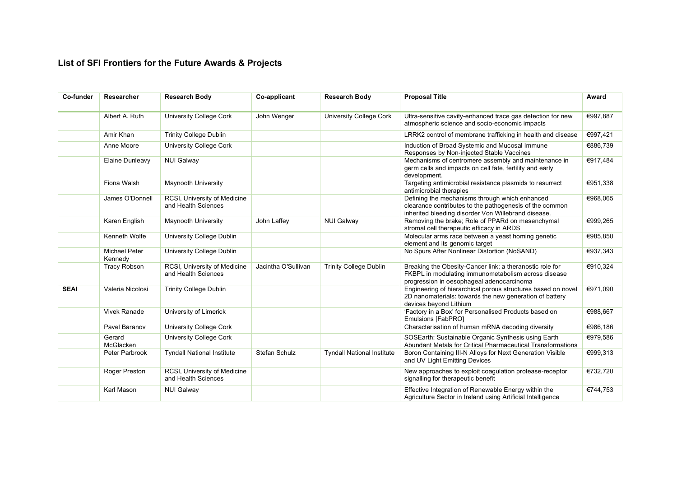## **List of SFI Frontiers for the Future Awards & Projects**

| Co-funder   | Researcher                      | <b>Research Body</b>                                | Co-applicant        | <b>Research Body</b>              | <b>Proposal Title</b>                                                                                                                                            | Award    |
|-------------|---------------------------------|-----------------------------------------------------|---------------------|-----------------------------------|------------------------------------------------------------------------------------------------------------------------------------------------------------------|----------|
|             | Albert A. Ruth                  | <b>University College Cork</b>                      | John Wenger         | <b>University College Cork</b>    | Ultra-sensitive cavity-enhanced trace gas detection for new<br>atmospheric science and socio-economic impacts                                                    | €997,887 |
|             | Amir Khan                       | <b>Trinity College Dublin</b>                       |                     |                                   | LRRK2 control of membrane trafficking in health and disease                                                                                                      | €997,421 |
|             | Anne Moore                      | <b>University College Cork</b>                      |                     |                                   | Induction of Broad Systemic and Mucosal Immune<br>Responses by Non-injected Stable Vaccines                                                                      | €886,739 |
|             | Elaine Dunleavy                 | <b>NUI Galway</b>                                   |                     |                                   | Mechanisms of centromere assembly and maintenance in<br>germ cells and impacts on cell fate, fertility and early<br>development.                                 | €917,484 |
|             | Fiona Walsh                     | <b>Maynooth University</b>                          |                     |                                   | Targeting antimicrobial resistance plasmids to resurrect<br>antimicrobial therapies                                                                              | €951,338 |
|             | James O'Donnell                 | RCSI, University of Medicine<br>and Health Sciences |                     |                                   | Defining the mechanisms through which enhanced<br>clearance contributes to the pathogenesis of the common<br>inherited bleeding disorder Von Willebrand disease. | €968,065 |
|             | Karen English                   | <b>Maynooth University</b>                          | John Laffey         | <b>NUI Galway</b>                 | Removing the brake; Role of PPARd on mesenchymal<br>stromal cell therapeutic efficacy in ARDS                                                                    | €999,265 |
|             | Kenneth Wolfe                   | University College Dublin                           |                     |                                   | Molecular arms race between a yeast homing genetic<br>element and its genomic target                                                                             | €985,850 |
|             | <b>Michael Peter</b><br>Kennedy | University College Dublin                           |                     |                                   | No Spurs After Nonlinear Distortion (NoSAND)                                                                                                                     | €937,343 |
|             | <b>Tracy Robson</b>             | RCSI, University of Medicine<br>and Health Sciences | Jacintha O'Sullivan | <b>Trinity College Dublin</b>     | Breaking the Obesity-Cancer link; a theranostic role for<br>FKBPL in modulating immunometabolism across disease<br>progression in oesophageal adenocarcinoma     | €910,324 |
| <b>SEAI</b> | Valeria Nicolosi                | <b>Trinity College Dublin</b>                       |                     |                                   | Engineering of hierarchical porous structures based on novel<br>2D nanomaterials: towards the new generation of battery<br>devices beyond Lithium                | €971,090 |
|             | <b>Vivek Ranade</b>             | University of Limerick                              |                     |                                   | 'Factory in a Box' for Personalised Products based on<br>Emulsions [FabPRO]                                                                                      | €988,667 |
|             | Pavel Baranov                   | <b>University College Cork</b>                      |                     |                                   | Characterisation of human mRNA decoding diversity                                                                                                                | €986,186 |
|             | Gerard<br>McGlacken             | <b>University College Cork</b>                      |                     |                                   | SOSEarth: Sustainable Organic Synthesis using Earth<br>Abundant Metals for Critical Pharmaceutical Transformations                                               | €979,586 |
|             | Peter Parbrook                  | <b>Tyndall National Institute</b>                   | Stefan Schulz       | <b>Tyndall National Institute</b> | Boron Containing III-N Alloys for Next Generation Visible<br>and UV Light Emitting Devices                                                                       | €999,313 |
|             | Roger Preston                   | RCSI, University of Medicine<br>and Health Sciences |                     |                                   | New approaches to exploit coagulation protease-receptor<br>signalling for therapeutic benefit                                                                    | €732,720 |
|             | Karl Mason                      | <b>NUI Galway</b>                                   |                     |                                   | Effective Integration of Renewable Energy within the<br>Agriculture Sector in Ireland using Artificial Intelligence                                              | €744,753 |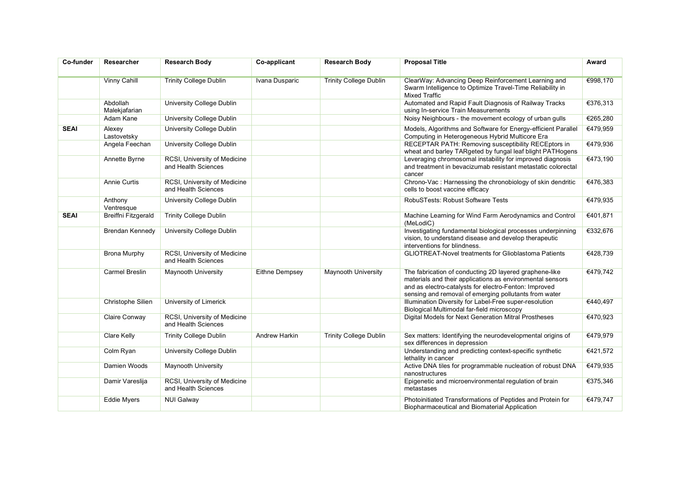| Co-funder   | Researcher                 | <b>Research Body</b>                                | Co-applicant   | <b>Research Body</b>          | <b>Proposal Title</b>                                                                                                                                                                                                                 | Award    |
|-------------|----------------------------|-----------------------------------------------------|----------------|-------------------------------|---------------------------------------------------------------------------------------------------------------------------------------------------------------------------------------------------------------------------------------|----------|
|             | <b>Vinny Cahill</b>        | <b>Trinity College Dublin</b>                       | Ivana Dusparic | <b>Trinity College Dublin</b> | ClearWay: Advancing Deep Reinforcement Learning and<br>Swarm Intelligence to Optimize Travel-Time Reliability in<br><b>Mixed Traffic</b>                                                                                              | €998,170 |
|             | Abdollah<br>Malekjafarian  | <b>University College Dublin</b>                    |                |                               | Automated and Rapid Fault Diagnosis of Railway Tracks<br>using In-service Train Measurements                                                                                                                                          | €376,313 |
|             | Adam Kane                  | University College Dublin                           |                |                               | Noisy Neighbours - the movement ecology of urban gulls                                                                                                                                                                                | €265,280 |
| <b>SEAI</b> | Alexey<br>Lastovetsky      | <b>University College Dublin</b>                    |                |                               | Models, Algorithms and Software for Energy-efficient Parallel<br>Computing in Heterogeneous Hybrid Multicore Era                                                                                                                      | €479,959 |
|             | Angela Feechan             | <b>University College Dublin</b>                    |                |                               | RECEPTAR PATH: Removing susceptibility RECEptors in<br>wheat and barley TARgeted by fungal leaf blight PATHogens                                                                                                                      | €479,936 |
|             | Annette Byrne              | RCSI, University of Medicine<br>and Health Sciences |                |                               | Leveraging chromosomal instability for improved diagnosis<br>and treatment in bevacizumab resistant metastatic colorectal<br>cancer                                                                                                   | €473,190 |
|             | <b>Annie Curtis</b>        | RCSI, University of Medicine<br>and Health Sciences |                |                               | Chrono-Vac : Harnessing the chronobiology of skin dendritic<br>cells to boost vaccine efficacy                                                                                                                                        | €476,383 |
|             | Anthony<br>Ventresque      | <b>University College Dublin</b>                    |                |                               | RobuSTests: Robust Software Tests                                                                                                                                                                                                     | €479,935 |
| <b>SEAI</b> | <b>Breiffni Fitzgerald</b> | <b>Trinity College Dublin</b>                       |                |                               | Machine Learning for Wind Farm Aerodynamics and Control<br>(MeLodiC)                                                                                                                                                                  | €401,871 |
|             | <b>Brendan Kennedy</b>     | University College Dublin                           |                |                               | Investigating fundamental biological processes underpinning<br>vision, to understand disease and develop therapeutic<br>interventions for blindness.                                                                                  | €332,676 |
|             | <b>Brona Murphy</b>        | RCSI, University of Medicine<br>and Health Sciences |                |                               | <b>GLIOTREAT-Novel treatments for Glioblastoma Patients</b>                                                                                                                                                                           | €428,739 |
|             | Carmel Breslin             | <b>Maynooth University</b>                          | Eithne Dempsey | Maynooth University           | The fabrication of conducting 2D layered graphene-like<br>materials and their applications as environmental sensors<br>and as electro-catalysts for electro-Fenton: Improved<br>sensing and removal of emerging pollutants from water | €479,742 |
|             | Christophe Silien          | University of Limerick                              |                |                               | Illumination Diversity for Label-Free super-resolution<br>Biological Multimodal far-field microscopy                                                                                                                                  | €440,497 |
|             | Claire Conway              | RCSI, University of Medicine<br>and Health Sciences |                |                               | Digital Models for Next Generation Mitral Prostheses                                                                                                                                                                                  | €470,923 |
|             | Clare Kelly                | <b>Trinity College Dublin</b>                       | Andrew Harkin  | <b>Trinity College Dublin</b> | Sex matters: Identifying the neurodevelopmental origins of<br>sex differences in depression                                                                                                                                           | €479,979 |
|             | Colm Ryan                  | University College Dublin                           |                |                               | Understanding and predicting context-specific synthetic<br>lethality in cancer                                                                                                                                                        | €421,572 |
|             | Damien Woods               | <b>Maynooth University</b>                          |                |                               | Active DNA tiles for programmable nucleation of robust DNA<br>nanostructures                                                                                                                                                          | €479,935 |
|             | Damir Vareslija            | RCSI, University of Medicine<br>and Health Sciences |                |                               | Epigenetic and microenvironmental regulation of brain<br>metastases                                                                                                                                                                   | €375,346 |
|             | <b>Eddie Myers</b>         | <b>NUI Galway</b>                                   |                |                               | Photoinitiated Transformations of Peptides and Protein for<br>Biopharmaceutical and Biomaterial Application                                                                                                                           | €479,747 |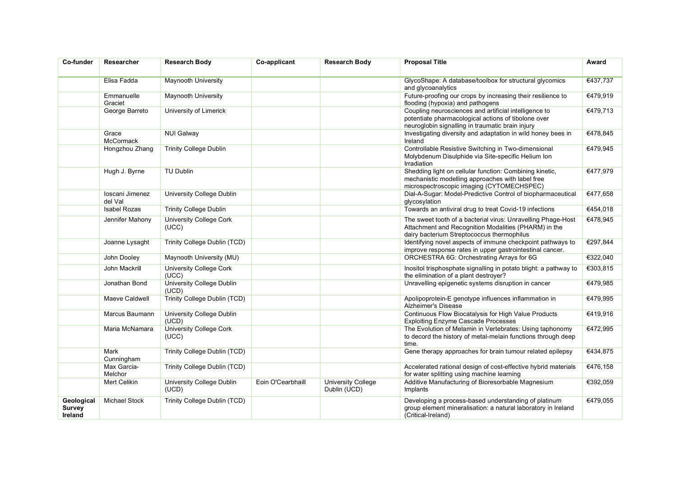| Co-funder                                     | Researcher                 | <b>Research Body</b>                    | Co-applicant      | <b>Research Body</b>                      | <b>Proposal Title</b>                                                                                                                                              | Award    |
|-----------------------------------------------|----------------------------|-----------------------------------------|-------------------|-------------------------------------------|--------------------------------------------------------------------------------------------------------------------------------------------------------------------|----------|
|                                               |                            |                                         |                   |                                           |                                                                                                                                                                    |          |
|                                               | Elisa Fadda                | <b>Maynooth University</b>              |                   |                                           | GlycoShape: A database/toolbox for structural glycomics<br>and glycoanalytics                                                                                      | €437,737 |
|                                               | Emmanuelle<br>Graciet      | <b>Maynooth University</b>              |                   |                                           | Future-proofing our crops by increasing their resilience to<br>flooding (hypoxia) and pathogens                                                                    | €479,919 |
|                                               | George Barreto             | University of Limerick                  |                   |                                           | Coupling neurosciences and artificial intelligence to<br>potentiate pharmacological actions of tibolone over<br>neuroglobin signalling in traumatic brain injury   | €479,713 |
|                                               | Grace<br>McCormack         | <b>NUI Galway</b>                       |                   |                                           | Investigating diversity and adaptation in wild honey bees in<br>Ireland                                                                                            | €478,845 |
|                                               | Hongzhou Zhang             | <b>Trinity College Dublin</b>           |                   |                                           | Controllable Resistive Switching in Two-dimensional<br>Molybdenum Disulphide via Site-specific Helium Ion<br>Irradiation                                           | €479,945 |
|                                               | Hugh J. Byrne              | <b>TU Dublin</b>                        |                   |                                           | Shedding light on cellular function: Combining kinetic,<br>mechanistic modelling approaches with label free<br>microspectroscopic imaging (CYTOMECHSPEC)           | €477,979 |
|                                               | Ioscani Jimenez<br>del Val | University College Dublin               |                   |                                           | Dial-A-Sugar: Model-Predictive Control of biopharmaceutical<br>qlycosylation                                                                                       | €477,658 |
|                                               | <b>Isabel Rozas</b>        | <b>Trinity College Dublin</b>           |                   |                                           | Towards an antiviral drug to treat Covid-19 infections                                                                                                             | €454,018 |
|                                               | Jennifer Mahony            | <b>University College Cork</b><br>(UCC) |                   |                                           | The sweet tooth of a bacterial virus: Unravelling Phage-Host<br>Attachment and Recognition Modalities (PHARM) in the<br>dairy bacterium Streptococcus thermophilus | €478,945 |
|                                               | Joanne Lysaght             | Trinity College Dublin (TCD)            |                   |                                           | Identifying novel aspects of immune checkpoint pathways to<br>improve response rates in upper gastrointestinal cancer.                                             | €297,844 |
|                                               | John Dooley                | Maynooth University (MU)                |                   |                                           | ORCHESTRA 6G: Orchestrating Arrays for 6G                                                                                                                          | €322,040 |
|                                               | John Mackrill              | <b>University College Cork</b><br>(UCC) |                   |                                           | Inositol trisphosphate signalling in potato blight: a pathway to<br>the elimination of a plant destroyer?                                                          | €303,815 |
|                                               | Jonathan Bond              | University College Dublin<br>(UCD)      |                   |                                           | Unravelling epigenetic systems disruption in cancer                                                                                                                | €479,985 |
|                                               | Maeve Caldwell             | <b>Trinity College Dublin (TCD)</b>     |                   |                                           | Apolipoprotein-E genotype influences inflammation in<br>Alzheimer's Disease                                                                                        | €479,995 |
|                                               | Marcus Baumann             | University College Dublin<br>(UCD)      |                   |                                           | Continuous Flow Biocatalysis for High Value Products<br><b>Exploiting Enzyme Cascade Processes</b>                                                                 | €419,916 |
|                                               | Maria McNamara             | <b>University College Cork</b><br>(UCC) |                   |                                           | The Evolution of Melamin in Vertebrates: Using taphonomy<br>to decord the history of metal-melain functions through deep<br>time.                                  | €472,995 |
|                                               | Mark<br>Cunningham         | Trinity College Dublin (TCD)            |                   |                                           | Gene therapy approaches for brain tumour related epilepsy                                                                                                          | €434,875 |
|                                               | Max Garcia-<br>Melchor     | Trinity College Dublin (TCD)            |                   |                                           | Accelerated rational design of cost-effective hybrid materials<br>for water splitting using machine learning                                                       | €476,158 |
|                                               | Mert Celikin               | University College Dublin<br>(UCD)      | Eoin O'Cearbhaill | <b>University College</b><br>Dublin (UCD) | Additive Manufacturing of Bioresorbable Magnesium<br>Implants                                                                                                      | €392,059 |
| Geological<br><b>Survey</b><br><b>Ireland</b> | <b>Michael Stock</b>       | Trinity College Dublin (TCD)            |                   |                                           | Developing a process-based understanding of platinum<br>group element mineralisation: a natural laboratory in Ireland<br>(Critical-Ireland)                        | €479,055 |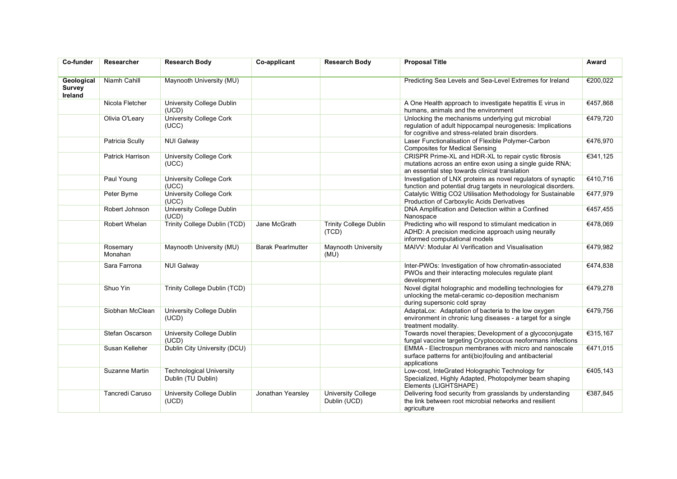| Co-funder                       | Researcher              | <b>Research Body</b>                                  | Co-applicant             | <b>Research Body</b>                      | <b>Proposal Title</b>                                                                                                                                                | Award    |
|---------------------------------|-------------------------|-------------------------------------------------------|--------------------------|-------------------------------------------|----------------------------------------------------------------------------------------------------------------------------------------------------------------------|----------|
|                                 |                         |                                                       |                          |                                           |                                                                                                                                                                      |          |
| Geological<br>Survey<br>Ireland | Niamh Cahill            | Maynooth University (MU)                              |                          |                                           | Predicting Sea Levels and Sea-Level Extremes for Ireland                                                                                                             | €200,022 |
|                                 | Nicola Fletcher         | University College Dublin<br>(UCD)                    |                          |                                           | A One Health approach to investigate hepatitis E virus in<br>humans, animals and the environment                                                                     | €457,868 |
|                                 | Olivia O'Leary          | <b>University College Cork</b><br>(UCC)               |                          |                                           | Unlocking the mechanisms underlying gut microbial<br>regulation of adult hippocampal neurogenesis: Implications<br>for cognitive and stress-related brain disorders. | €479,720 |
|                                 | Patricia Scully         | <b>NUI Galway</b>                                     |                          |                                           | Laser Functionalisation of Flexible Polymer-Carbon<br><b>Composites for Medical Sensing</b>                                                                          | €476,970 |
|                                 | <b>Patrick Harrison</b> | <b>University College Cork</b><br>(UCC)               |                          |                                           | CRISPR Prime-XL and HDR-XL to repair cystic fibrosis<br>mutations across an entire exon using a single guide RNA;<br>an essential step towards clinical translation  | €341,125 |
|                                 | Paul Young              | <b>University College Cork</b><br>(UCC)               |                          |                                           | Investigation of LNX proteins as novel regulators of synaptic<br>function and potential drug targets in neurological disorders.                                      | €410,716 |
|                                 | Peter Byrne             | <b>University College Cork</b><br>(UCC)               |                          |                                           | Catalytic Wittig CO2 Utilisation Methodology for Sustainable<br>Production of Carboxylic Acids Derivatives                                                           | €477,979 |
|                                 | Robert Johnson          | <b>University College Dublin</b><br>(UCD)             |                          |                                           | DNA Amplification and Detection within a Confined<br>Nanospace                                                                                                       | €457,455 |
|                                 | Robert Whelan           | Trinity College Dublin (TCD)                          | Jane McGrath             | <b>Trinity College Dublin</b><br>(TCD)    | Predicting who will respond to stimulant medication in<br>ADHD: A precision medicine approach using neurally<br>informed computational models                        | €478,069 |
|                                 | Rosemary<br>Monahan     | Maynooth University (MU)                              | <b>Barak Pearlmutter</b> | Maynooth University<br>(MU)               | MAIVV: Modular AI Verification and Visualisation                                                                                                                     | €479,982 |
|                                 | Sara Farrona            | <b>NUI Galway</b>                                     |                          |                                           | Inter-PWOs: Investigation of how chromatin-associated<br>PWOs and their interacting molecules regulate plant<br>development                                          | €474,838 |
|                                 | Shuo Yin                | <b>Trinity College Dublin (TCD)</b>                   |                          |                                           | Novel digital holographic and modelling technologies for<br>unlocking the metal-ceramic co-deposition mechanism<br>during supersonic cold spray                      | €479,278 |
|                                 | Siobhan McClean         | <b>University College Dublin</b><br>(UCD)             |                          |                                           | AdaptaLox: Adaptation of bacteria to the low oxygen<br>environment in chronic lung diseases - a target for a single<br>treatment modality.                           | €479,756 |
|                                 | Stefan Oscarson         | University College Dublin<br>(UCD)                    |                          |                                           | Towards novel therapies; Development of a glycoconjugate<br>fungal vaccine targeting Cryptococcus neoformans infections                                              | €315,167 |
|                                 | Susan Kelleher          | Dublin City University (DCU)                          |                          |                                           | EMMA - Electrospun membranes with micro and nanoscale<br>surface patterns for anti(bio)fouling and antibacterial<br>applications                                     | €471,015 |
|                                 | Suzanne Martin          | <b>Technological University</b><br>Dublin (TU Dublin) |                          |                                           | Low-cost, InteGrated Holographic Technology for<br>Specialized, Highly Adapted, Photopolymer beam shaping<br>Elements (LIGHTSHAPE)                                   | €405,143 |
|                                 | Tancredi Caruso         | University College Dublin<br>(UCD)                    | Jonathan Yearsley        | <b>University College</b><br>Dublin (UCD) | Delivering food security from grasslands by understanding<br>the link between root microbial networks and resilient<br>agriculture                                   | €387,845 |